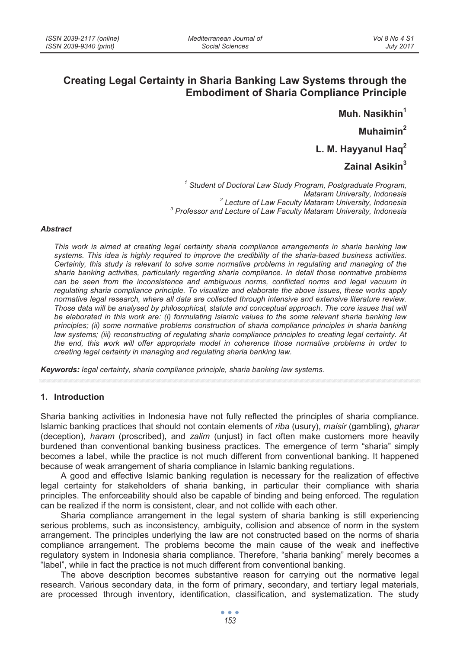# **Creating Legal Certainty in Sharia Banking Law Systems through the Embodiment of Sharia Compliance Principle**

**Muh. Nasikhin<sup>1</sup>**

**Muhaimin2**

**L. M. Hayyanul Haq<sup>2</sup>**

# **Zainal Asikin<sup>3</sup>**

*1 Student of Doctoral Law Study Program, Postgraduate Program, Mataram University, Indonesia 2 Lecture of Law Faculty Mataram University, Indonesia 3 Professor and Lecture of Law Faculty Mataram University, Indonesia*

#### *Abstract*

*This work is aimed at creating legal certainty sharia compliance arrangements in sharia banking law systems. This idea is highly required to improve the credibility of the sharia-based business activities. Certainly, this study is relevant to solve some normative problems in regulating and managing of the sharia banking activities, particularly regarding sharia compliance. In detail those normative problems*  can be seen from the inconsistence and ambiguous norms, conflicted norms and legal vacuum in *regulating sharia compliance principle. To visualize and elaborate the above issues, these works apply normative legal research, where all data are collected through intensive and extensive literature review.*  Those data will be analysed by philosophical, statute and conceptual approach. The core issues that will *be elaborated in this work are: (i) formulating Islamic values to the some relevant sharia banking law principles; (ii) some normative problems construction of sharia compliance principles in sharia banking law systems; (iii) reconstructing of regulating sharia compliance principles to creating legal certainty. At the end, this work will offer appropriate model in coherence those normative problems in order to creating legal certainty in managing and regulating sharia banking law.* 

*Keywords: legal certainty, sharia compliance principle, sharia banking law systems.* 

#### **1. Introduction**

Sharia banking activities in Indonesia have not fully reflected the principles of sharia compliance. Islamic banking practices that should not contain elements of *riba* (usury), *maisir* (gambling), *gharar*  (deception)*, haram* (proscribed), and *zalim* (unjust) in fact often make customers more heavily burdened than conventional banking business practices. The emergence of term "sharia" simply becomes a label, while the practice is not much different from conventional banking. It happened because of weak arrangement of sharia compliance in Islamic banking regulations.

A good and effective Islamic banking regulation is necessary for the realization of effective legal certainty for stakeholders of sharia banking, in particular their compliance with sharia principles. The enforceability should also be capable of binding and being enforced. The regulation can be realized if the norm is consistent, clear, and not collide with each other.

Sharia compliance arrangement in the legal system of sharia banking is still experiencing serious problems, such as inconsistency, ambiguity, collision and absence of norm in the system arrangement. The principles underlying the law are not constructed based on the norms of sharia compliance arrangement. The problems become the main cause of the weak and ineffective regulatory system in Indonesia sharia compliance. Therefore, "sharia banking" merely becomes a "label", while in fact the practice is not much different from conventional banking.

The above description becomes substantive reason for carrying out the normative legal research. Various secondary data, in the form of primary, secondary, and tertiary legal materials, are processed through inventory, identification, classification, and systematization. The study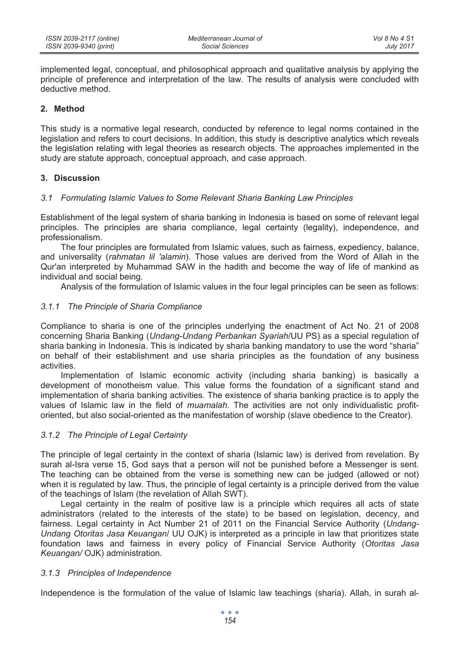implemented legal, conceptual, and philosophical approach and qualitative analysis by applying the principle of preference and interpretation of the law. The results of analysis were concluded with deductive method.

# **2. Method**

This study is a normative legal research, conducted by reference to legal norms contained in the legislation and refers to court decisions. In addition, this study is descriptive analytics which reveals the legislation relating with legal theories as research objects. The approaches implemented in the study are statute approach, conceptual approach, and case approach.

## **3. Discussion**

## *3.1 Formulating Islamic Values to Some Relevant Sharia Banking Law Principles*

Establishment of the legal system of sharia banking in Indonesia is based on some of relevant legal principles. The principles are sharia compliance, legal certainty (legality), independence, and professionalism.

The four principles are formulated from Islamic values, such as fairness, expediency, balance, and universality (*rahmatan lil 'alamin*). Those values are derived from the Word of Allah in the Qur'an interpreted by Muhammad SAW in the hadith and become the way of life of mankind as individual and social being.

Analysis of the formulation of Islamic values in the four legal principles can be seen as follows:

## *3.1.1 The Principle of Sharia Compliance*

Compliance to sharia is one of the principles underlying the enactment of Act No. 21 of 2008 concerning Sharia Banking (*Undang-Undang Perbankan Syariah*/UU PS) as a special regulation of sharia banking in Indonesia. This is indicated by sharia banking mandatory to use the word "sharia" on behalf of their establishment and use sharia principles as the foundation of any business activities.

Implementation of Islamic economic activity (including sharia banking) is basically a development of monotheism value. This value forms the foundation of a significant stand and implementation of sharia banking activities. The existence of sharia banking practice is to apply the values of Islamic law in the field of *muamalah*. The activities are not only individualistic profitoriented, but also social-oriented as the manifestation of worship (slave obedience to the Creator).

## *3.1.2 The Principle of Legal Certainty*

The principle of legal certainty in the context of sharia (Islamic law) is derived from revelation. By surah al-Isra verse 15, God says that a person will not be punished before a Messenger is sent. The teaching can be obtained from the verse is something new can be judged (allowed or not) when it is regulated by law. Thus, the principle of legal certainty is a principle derived from the value of the teachings of Islam (the revelation of Allah SWT).

Legal certainty in the realm of positive law is a principle which requires all acts of state administrators (related to the interests of the state) to be based on legislation, decency, and fairness. Legal certainty in Act Number 21 of 2011 on the Financial Service Authority (*Undang-Undang Otoritas Jasa Keuangan*/ UU OJK) is interpreted as a principle in law that prioritizes state foundation laws and fairness in every policy of Financial Service Authority (*Otoritas Jasa Keuangan/* OJK) administration.

## *3.1.3 Principles of Independence*

Independence is the formulation of the value of Islamic law teachings (sharia). Allah, in surah al-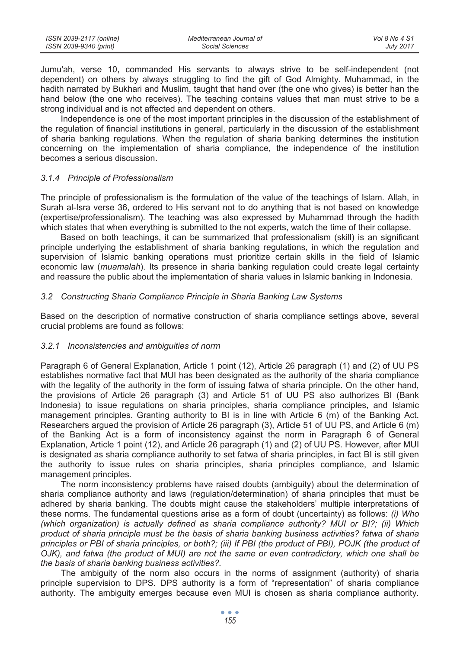| ISSN 2039-2117 (online) | Mediterranean Journal of | Vol 8 No 4 S1    |
|-------------------------|--------------------------|------------------|
| ISSN 2039-9340 (print)  | Social Sciences          | <b>July 2017</b> |

Jumu'ah, verse 10, commanded His servants to always strive to be self-independent (not dependent) on others by always struggling to find the gift of God Almighty. Muhammad, in the hadith narrated by Bukhari and Muslim, taught that hand over (the one who gives) is better han the hand below (the one who receives). The teaching contains values that man must strive to be a strong individual and is not affected and dependent on others.

Independence is one of the most important principles in the discussion of the establishment of the regulation of financial institutions in general, particularly in the discussion of the establishment of sharia banking regulations. When the regulation of sharia banking determines the institution concerning on the implementation of sharia compliance, the independence of the institution becomes a serious discussion.

## *3.1.4 Principle of Professionalism*

The principle of professionalism is the formulation of the value of the teachings of Islam. Allah, in Surah al-Isra verse 36, ordered to His servant not to do anything that is not based on knowledge (expertise/professionalism). The teaching was also expressed by Muhammad through the hadith which states that when everything is submitted to the not experts, watch the time of their collapse.

Based on both teachings, it can be summarized that professionalism (skill) is an significant principle underlying the establishment of sharia banking regulations, in which the regulation and supervision of Islamic banking operations must prioritize certain skills in the field of Islamic economic law (*muamalah*). Its presence in sharia banking regulation could create legal certainty and reassure the public about the implementation of sharia values in Islamic banking in Indonesia.

## *3.2 Constructing Sharia Compliance Principle in Sharia Banking Law Systems*

Based on the description of normative construction of sharia compliance settings above, several crucial problems are found as follows:

## *3.2.1 Inconsistencies and ambiguities of norm*

Paragraph 6 of General Explanation, Article 1 point (12), Article 26 paragraph (1) and (2) of UU PS establishes normative fact that MUI has been designated as the authority of the sharia compliance with the legality of the authority in the form of issuing fatwa of sharia principle. On the other hand, the provisions of Article 26 paragraph (3) and Article 51 of UU PS also authorizes BI (Bank Indonesia) to issue regulations on sharia principles, sharia compliance principles, and Islamic management principles. Granting authority to BI is in line with Article 6 (m) of the Banking Act. Researchers argued the provision of Article 26 paragraph (3), Article 51 of UU PS, and Article 6 (m) of the Banking Act is a form of inconsistency against the norm in Paragraph 6 of General Explanation, Article 1 point (12), and Article 26 paragraph (1) and (2) of UU PS. However, after MUI is designated as sharia compliance authority to set fatwa of sharia principles, in fact BI is still given the authority to issue rules on sharia principles, sharia principles compliance, and Islamic management principles.

The norm inconsistency problems have raised doubts (ambiguity) about the determination of sharia compliance authority and laws (regulation/determination) of sharia principles that must be adhered by sharia banking. The doubts might cause the stakeholders' multiple interpretations of these norms. The fundamental questions arise as a form of doubt (uncertainty) as follows: *(i) Who (which organization) is actually defined as sharia compliance authority? MUI or BI?; (ii) Which product of sharia principle must be the basis of sharia banking business activities? fatwa of sharia*  principles or PBI of sharia principles, or both?; (iii) If PBI (the product of PBI), POJK (the product of *OJK), and fatwa (the product of MUI) are not the same or even contradictory, which one shall be the basis of sharia banking business activities?.*

The ambiguity of the norm also occurs in the norms of assignment (authority) of sharia principle supervision to DPS. DPS authority is a form of "representation" of sharia compliance authority. The ambiguity emerges because even MUI is chosen as sharia compliance authority.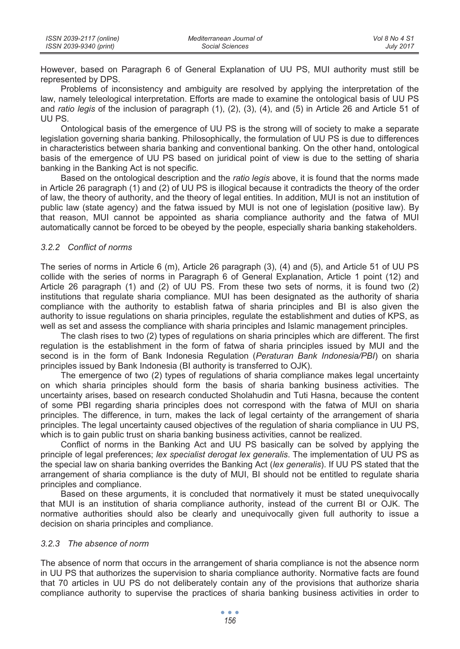However, based on Paragraph 6 of General Explanation of UU PS, MUI authority must still be represented by DPS.

Problems of inconsistency and ambiguity are resolved by applying the interpretation of the law, namely teleological interpretation. Efforts are made to examine the ontological basis of UU PS and *ratio legis* of the inclusion of paragraph (1), (2), (3), (4), and (5) in Article 26 and Article 51 of UU PS.

Ontological basis of the emergence of UU PS is the strong will of society to make a separate legislation governing sharia banking. Philosophically, the formulation of UU PS is due to differences in characteristics between sharia banking and conventional banking. On the other hand, ontological basis of the emergence of UU PS based on juridical point of view is due to the setting of sharia banking in the Banking Act is not specific.

Based on the ontological description and the *ratio legis* above, it is found that the norms made in Article 26 paragraph (1) and (2) of UU PS is illogical because it contradicts the theory of the order of law, the theory of authority, and the theory of legal entities. In addition, MUI is not an institution of public law (state agency) and the fatwa issued by MUI is not one of legislation (positive law). By that reason, MUI cannot be appointed as sharia compliance authority and the fatwa of MUI automatically cannot be forced to be obeyed by the people, especially sharia banking stakeholders.

## *3.2.2 Conflict of norms*

The series of norms in Article 6 (m), Article 26 paragraph (3), (4) and (5), and Article 51 of UU PS collide with the series of norms in Paragraph 6 of General Explanation, Article 1 point (12) and Article 26 paragraph (1) and (2) of UU PS. From these two sets of norms, it is found two (2) institutions that regulate sharia compliance. MUI has been designated as the authority of sharia compliance with the authority to establish fatwa of sharia principles and BI is also given the authority to issue regulations on sharia principles, regulate the establishment and duties of KPS, as well as set and assess the compliance with sharia principles and Islamic management principles.

The clash rises to two (2) types of regulations on sharia principles which are different. The first regulation is the establishment in the form of fatwa of sharia principles issued by MUI and the second is in the form of Bank Indonesia Regulation (*Peraturan Bank Indonesia/PBI*) on sharia principles issued by Bank Indonesia (BI authority is transferred to OJK).

The emergence of two (2) types of regulations of sharia compliance makes legal uncertainty on which sharia principles should form the basis of sharia banking business activities. The uncertainty arises, based on research conducted Sholahudin and Tuti Hasna, because the content of some PBI regarding sharia principles does not correspond with the fatwa of MUI on sharia principles. The difference, in turn, makes the lack of legal certainty of the arrangement of sharia principles. The legal uncertainty caused objectives of the regulation of sharia compliance in UU PS, which is to gain public trust on sharia banking business activities, cannot be realized.

Conflict of norms in the Banking Act and UU PS basically can be solved by applying the principle of legal preferences; *lex specialist derogat lex generalis*. The implementation of UU PS as the special law on sharia banking overrides the Banking Act (*lex generalis*). If UU PS stated that the arrangement of sharia compliance is the duty of MUI, BI should not be entitled to regulate sharia principles and compliance.

Based on these arguments, it is concluded that normatively it must be stated unequivocally that MUI is an institution of sharia compliance authority, instead of the current BI or OJK. The normative authorities should also be clearly and unequivocally given full authority to issue a decision on sharia principles and compliance.

#### *3.2.3 The absence of norm*

The absence of norm that occurs in the arrangement of sharia compliance is not the absence norm in UU PS that authorizes the supervision to sharia compliance authority. Normative facts are found that 70 articles in UU PS do not deliberately contain any of the provisions that authorize sharia compliance authority to supervise the practices of sharia banking business activities in order to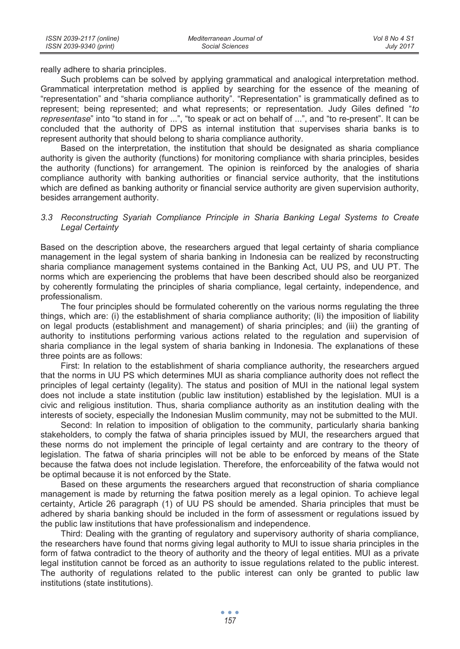really adhere to sharia principles.

Such problems can be solved by applying grammatical and analogical interpretation method. Grammatical interpretation method is applied by searching for the essence of the meaning of "representation" and "sharia compliance authority". "Representation" is grammatically defined as to represent; being represented; and what represents; or representation. Judy Giles defined "*to representase*" into "to stand in for ...", "to speak or act on behalf of ...", and "to re-present". It can be concluded that the authority of DPS as internal institution that supervises sharia banks is to represent authority that should belong to sharia compliance authority.

Based on the interpretation, the institution that should be designated as sharia compliance authority is given the authority (functions) for monitoring compliance with sharia principles, besides the authority (functions) for arrangement. The opinion is reinforced by the analogies of sharia compliance authority with banking authorities or financial service authority, that the institutions which are defined as banking authority or financial service authority are given supervision authority, besides arrangement authority.

## *3.3 Reconstructing Syariah Compliance Principle in Sharia Banking Legal Systems to Create Legal Certainty*

Based on the description above, the researchers argued that legal certainty of sharia compliance management in the legal system of sharia banking in Indonesia can be realized by reconstructing sharia compliance management systems contained in the Banking Act, UU PS, and UU PT. The norms which are experiencing the problems that have been described should also be reorganized by coherently formulating the principles of sharia compliance, legal certainty, independence, and professionalism.

The four principles should be formulated coherently on the various norms regulating the three things, which are: (i) the establishment of sharia compliance authority; (Ii) the imposition of liability on legal products (establishment and management) of sharia principles; and (iii) the granting of authority to institutions performing various actions related to the regulation and supervision of sharia compliance in the legal system of sharia banking in Indonesia. The explanations of these three points are as follows:

First: In relation to the establishment of sharia compliance authority, the researchers argued that the norms in UU PS which determines MUI as sharia compliance authority does not reflect the principles of legal certainty (legality). The status and position of MUI in the national legal system does not include a state institution (public law institution) established by the legislation. MUI is a civic and religious institution. Thus, sharia compliance authority as an institution dealing with the interests of society, especially the Indonesian Muslim community, may not be submitted to the MUI.

Second: In relation to imposition of obligation to the community, particularly sharia banking stakeholders, to comply the fatwa of sharia principles issued by MUI, the researchers argued that these norms do not implement the principle of legal certainty and are contrary to the theory of legislation. The fatwa of sharia principles will not be able to be enforced by means of the State because the fatwa does not include legislation. Therefore, the enforceability of the fatwa would not be optimal because it is not enforced by the State.

Based on these arguments the researchers argued that reconstruction of sharia compliance management is made by returning the fatwa position merely as a legal opinion. To achieve legal certainty, Article 26 paragraph (1) of UU PS should be amended. Sharia principles that must be adhered by sharia banking should be included in the form of assessment or regulations issued by the public law institutions that have professionalism and independence.

Third: Dealing with the granting of regulatory and supervisory authority of sharia compliance, the researchers have found that norms giving legal authority to MUI to issue sharia principles in the form of fatwa contradict to the theory of authority and the theory of legal entities. MUI as a private legal institution cannot be forced as an authority to issue regulations related to the public interest. The authority of regulations related to the public interest can only be granted to public law institutions (state institutions).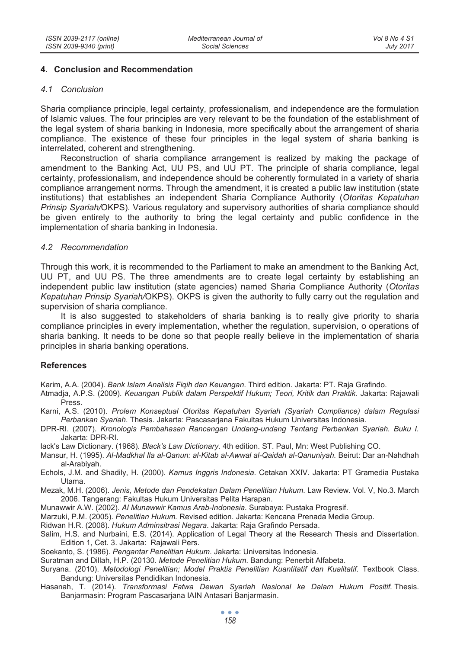## **4. Conclusion and Recommendation**

#### *4.1 Conclusion*

Sharia compliance principle, legal certainty, professionalism, and independence are the formulation of Islamic values. The four principles are very relevant to be the foundation of the establishment of the legal system of sharia banking in Indonesia, more specifically about the arrangement of sharia compliance. The existence of these four principles in the legal system of sharia banking is interrelated, coherent and strengthening.

Reconstruction of sharia compliance arrangement is realized by making the package of amendment to the Banking Act, UU PS, and UU PT. The principle of sharia compliance, legal certainty, professionalism, and independence should be coherently formulated in a variety of sharia compliance arrangement norms. Through the amendment, it is created a public law institution (state institutions) that establishes an independent Sharia Compliance Authority (*Otoritas Kepatuhan Prinsip Syariah/*OKPS). Various regulatory and supervisory authorities of sharia compliance should be given entirely to the authority to bring the legal certainty and public confidence in the implementation of sharia banking in Indonesia.

## *4.2 Recommendation*

Through this work, it is recommended to the Parliament to make an amendment to the Banking Act, UU PT, and UU PS. The three amendments are to create legal certainty by establishing an independent public law institution (state agencies) named Sharia Compliance Authority (*Otoritas Kepatuhan Prinsip Syariah/*OKPS). OKPS is given the authority to fully carry out the regulation and supervision of sharia compliance.

It is also suggested to stakeholders of sharia banking is to really give priority to sharia compliance principles in every implementation, whether the regulation, supervision, o operations of sharia banking. It needs to be done so that people really believe in the implementation of sharia principles in sharia banking operations.

## **References**

Karim, A.A. (2004). *Bank Islam Analisis Fiqih dan Keuangan*. Third edition. Jakarta: PT. Raja Grafindo.

- Atmadja, A.P.S. (2009). *Keuangan Publik dalam Perspektif Hukum; Teori, Kritik dan Praktik.* Jakarta: Rajawali Press.
- Karni, A.S. (2010). *Prolem Konseptual Otoritas Kepatuhan Syariah (Syariah Compliance) dalam Regulasi Perbankan Syariah*. Thesis. Jakarta: Pascasarjana Fakultas Hukum Universitas Indonesia.
- DPR-RI. (2007). *Kronologis Pembahasan Rancangan Undang-undang Tentang Perbankan Syariah. Buku I.*  Jakarta: DPR-RI.
- lack's Law Dictionary. (1968). *Black's Law Dictionary*. 4th edition. ST. Paul, Mn: West Publishing CO.
- Mansur, H. (1995). *Al-Madkhal Ila al-Qanun: al-Kitab al-Awwal al-Qaidah al-Qanuniyah.* Beirut: Dar an-Nahdhah al-Arabiyah.
- Echols, J.M. and Shadily, H. (2000). *Kamus Inggris Indonesia*. Cetakan XXIV*.* Jakarta: PT Gramedia Pustaka Utama.
- Mezak, M.H. (2006). *Jenis, Metode dan Pendekatan Dalam Penelitian Hukum*. Law Review. Vol. V, No.3. March 2006. Tangerang: Fakultas Hukum Universitas Pelita Harapan.
- Munawwir A.W. (2002). *Al Munawwir Kamus Arab-Indonesia.* Surabaya: Pustaka Progresif.
- Marzuki, P.M. (2005). *Penelitian Hukum.* Revised edition. Jakarta: Kencana Prenada Media Group.
- Ridwan H.R. (2008). *Hukum Adminsitrasi Negara*. Jakarta: Raja Grafindo Persada.
- Salim, H.S. and Nurbaini, E.S. (2014). Application of Legal Theory at the Research Thesis and Dissertation. Edition 1, Cet. 3. Jakarta: Rajawali Pers.
- Soekanto, S. (1986). *Pengantar Penelitian Hukum*. Jakarta: Universitas Indonesia.
- Suratman and Dillah, H.P. (20130. *Metode Penelitian Hukum*. Bandung: Penerbit Alfabeta.
- Suryana. (2010). *Metodologi Penelitian; Model Praktis Penelitian Kuantitatif dan Kualitatif.* Textbook Class. Bandung: Universitas Pendidikan Indonesia.
- Hasanah, T. (2014). *Transformasi Fatwa Dewan Syariah Nasional ke Dalam Hukum Positif.* Thesis. Banjarmasin: Program Pascasarjana IAIN Antasari Banjarmasin.